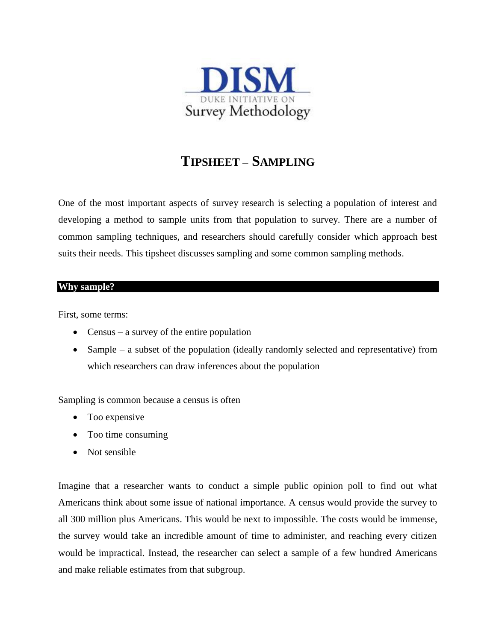

# **TIPSHEET – SAMPLING**

One of the most important aspects of survey research is selecting a population of interest and developing a method to sample units from that population to survey. There are a number of common sampling techniques, and researchers should carefully consider which approach best suits their needs. This tipsheet discusses sampling and some common sampling methods.

#### **Why sample?**

First, some terms:

- Census a survey of the entire population
- Sample a subset of the population (ideally randomly selected and representative) from which researchers can draw inferences about the population

Sampling is common because a census is often

- Too expensive
- Too time consuming
- Not sensible

Imagine that a researcher wants to conduct a simple public opinion poll to find out what Americans think about some issue of national importance. A census would provide the survey to all 300 million plus Americans. This would be next to impossible. The costs would be immense, the survey would take an incredible amount of time to administer, and reaching every citizen would be impractical. Instead, the researcher can select a sample of a few hundred Americans and make reliable estimates from that subgroup.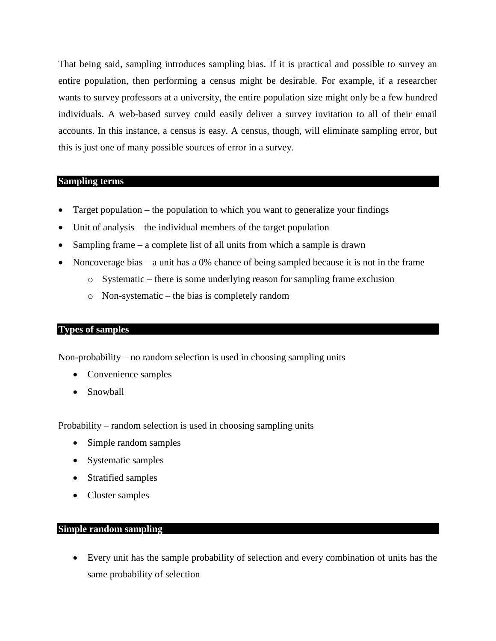That being said, sampling introduces sampling bias. If it is practical and possible to survey an entire population, then performing a census might be desirable. For example, if a researcher wants to survey professors at a university, the entire population size might only be a few hundred individuals. A web-based survey could easily deliver a survey invitation to all of their email accounts. In this instance, a census is easy. A census, though, will eliminate sampling error, but this is just one of many possible sources of error in a survey.

### **Sampling terms**

- Target population the population to which you want to generalize your findings
- Unit of analysis the individual members of the target population
- Sampling frame a complete list of all units from which a sample is drawn
- Noncoverage bias a unit has a 0% chance of being sampled because it is not in the frame
	- $\circ$  Systematic there is some underlying reason for sampling frame exclusion
	- o Non-systematic the bias is completely random

### **Types of samples**

Non-probability – no random selection is used in choosing sampling units

- Convenience samples
- Snowball

Probability – random selection is used in choosing sampling units

- Simple random samples
- Systematic samples
- Stratified samples
- Cluster samples

## **Simple random sampling**

 Every unit has the sample probability of selection and every combination of units has the same probability of selection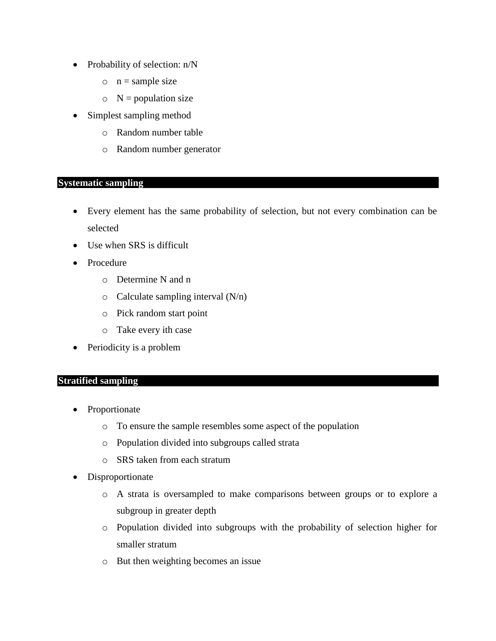- Probability of selection:  $n/N$ 
	- $\circ$  n = sample size
	- $\circ$  N = population size
- Simplest sampling method
	- o Random number table
	- o Random number generator

# **Systematic sampling**

- Every element has the same probability of selection, but not every combination can be selected
- Use when SRS is difficult
- Procedure
	- o Determine N and n
	- $\circ$  Calculate sampling interval (N/n)
	- o Pick random start point
	- o Take every ith case
- Periodicity is a problem

## **Stratified sampling**

- Proportionate
	- o To ensure the sample resembles some aspect of the population
	- o Population divided into subgroups called strata
	- o SRS taken from each stratum
- Disproportionate
	- o A strata is oversampled to make comparisons between groups or to explore a subgroup in greater depth
	- o Population divided into subgroups with the probability of selection higher for smaller stratum
	- o But then weighting becomes an issue